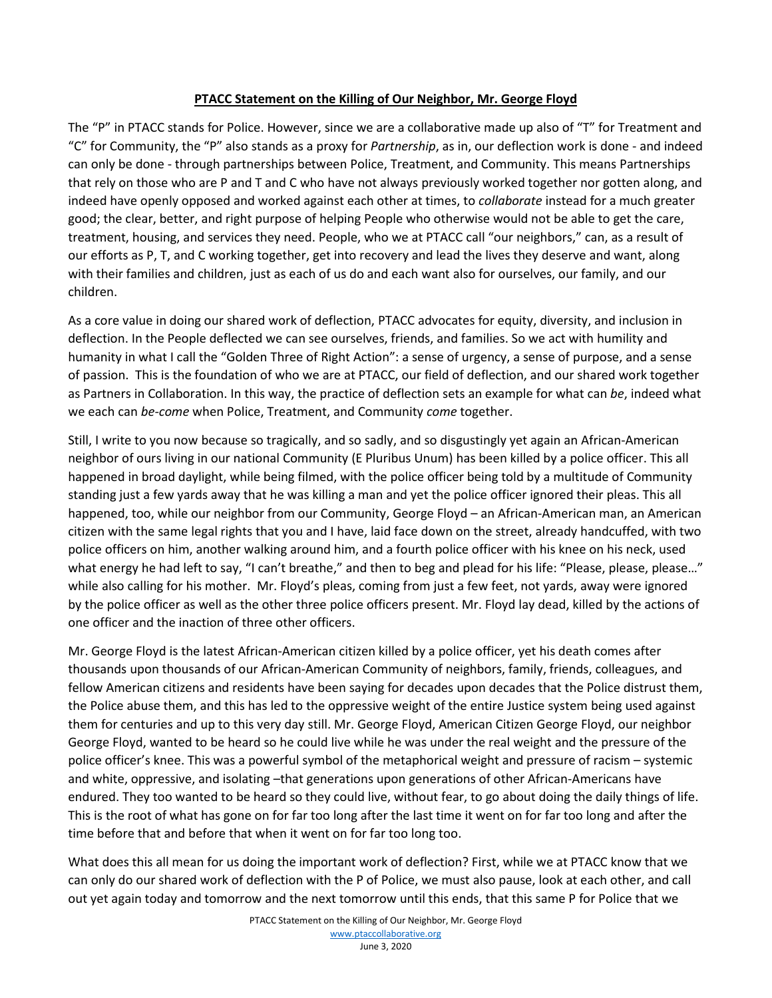## **PTACC Statement on the Killing of Our Neighbor, Mr. George Floyd**

The "P" in PTACC stands for Police. However, since we are a collaborative made up also of "T" for Treatment and "C" for Community, the "P" also stands as a proxy for *Partnership*, as in, our deflection work is done - and indeed can only be done - through partnerships between Police, Treatment, and Community. This means Partnerships that rely on those who are P and T and C who have not always previously worked together nor gotten along, and indeed have openly opposed and worked against each other at times, to *collaborate* instead for a much greater good; the clear, better, and right purpose of helping People who otherwise would not be able to get the care, treatment, housing, and services they need. People, who we at PTACC call "our neighbors," can, as a result of our efforts as P, T, and C working together, get into recovery and lead the lives they deserve and want, along with their families and children, just as each of us do and each want also for ourselves, our family, and our children.

As a core value in doing our shared work of deflection, PTACC advocates for equity, diversity, and inclusion in deflection. In the People deflected we can see ourselves, friends, and families. So we act with humility and humanity in what I call the "Golden Three of Right Action": a sense of urgency, a sense of purpose, and a sense of passion. This is the foundation of who we are at PTACC, our field of deflection, and our shared work together as Partners in Collaboration. In this way, the practice of deflection sets an example for what can *be*, indeed what we each can *be-come* when Police, Treatment, and Community *come* together.

Still, I write to you now because so tragically, and so sadly, and so disgustingly yet again an African-American neighbor of ours living in our national Community (E Pluribus Unum) has been killed by a police officer. This all happened in broad daylight, while being filmed, with the police officer being told by a multitude of Community standing just a few yards away that he was killing a man and yet the police officer ignored their pleas. This all happened, too, while our neighbor from our Community, George Floyd – an African-American man, an American citizen with the same legal rights that you and I have, laid face down on the street, already handcuffed, with two police officers on him, another walking around him, and a fourth police officer with his knee on his neck, used what energy he had left to say, "I can't breathe," and then to beg and plead for his life: "Please, please, please..." while also calling for his mother. Mr. Floyd's pleas, coming from just a few feet, not yards, away were ignored by the police officer as well as the other three police officers present. Mr. Floyd lay dead, killed by the actions of one officer and the inaction of three other officers.

Mr. George Floyd is the latest African-American citizen killed by a police officer, yet his death comes after thousands upon thousands of our African-American Community of neighbors, family, friends, colleagues, and fellow American citizens and residents have been saying for decades upon decades that the Police distrust them, the Police abuse them, and this has led to the oppressive weight of the entire Justice system being used against them for centuries and up to this very day still. Mr. George Floyd, American Citizen George Floyd, our neighbor George Floyd, wanted to be heard so he could live while he was under the real weight and the pressure of the police officer's knee. This was a powerful symbol of the metaphorical weight and pressure of racism – systemic and white, oppressive, and isolating -that generations upon generations of other African-Americans have endured. They too wanted to be heard so they could live, without fear, to go about doing the daily things of life. This is the root of what has gone on for far too long after the last time it went on for far too long and after the time before that and before that when it went on for far too long too.

What does this all mean for us doing the important work of deflection? First, while we at PTACC know that we can only do our shared work of deflection with the P of Police, we must also pause, look at each other, and call out yet again today and tomorrow and the next tomorrow until this ends, that this same P for Police that we